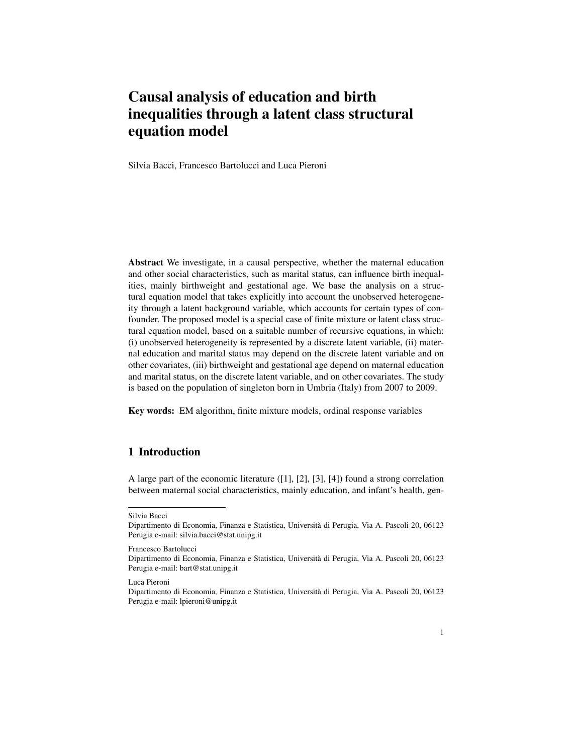# Causal analysis of education and birth inequalities through a latent class structural equation model

Silvia Bacci, Francesco Bartolucci and Luca Pieroni

Abstract We investigate, in a causal perspective, whether the maternal education and other social characteristics, such as marital status, can influence birth inequalities, mainly birthweight and gestational age. We base the analysis on a structural equation model that takes explicitly into account the unobserved heterogeneity through a latent background variable, which accounts for certain types of confounder. The proposed model is a special case of finite mixture or latent class structural equation model, based on a suitable number of recursive equations, in which: (i) unobserved heterogeneity is represented by a discrete latent variable, (ii) maternal education and marital status may depend on the discrete latent variable and on other covariates, (iii) birthweight and gestational age depend on maternal education and marital status, on the discrete latent variable, and on other covariates. The study is based on the population of singleton born in Umbria (Italy) from 2007 to 2009.

Key words: EM algorithm, finite mixture models, ordinal response variables

## 1 Introduction

A large part of the economic literature ([1], [2], [3], [4]) found a strong correlation between maternal social characteristics, mainly education, and infant's health, gen-

Francesco Bartolucci

Silvia Bacci

Dipartimento di Economia, Finanza e Statistica, Universita di Perugia, Via A. Pascoli 20, 06123 ` Perugia e-mail: silvia.bacci@stat.unipg.it

Dipartimento di Economia, Finanza e Statistica, Universita di Perugia, Via A. Pascoli 20, 06123 ` Perugia e-mail: bart@stat.unipg.it

Luca Pieroni

Dipartimento di Economia, Finanza e Statistica, Universita di Perugia, Via A. Pascoli 20, 06123 ` Perugia e-mail: lpieroni@unipg.it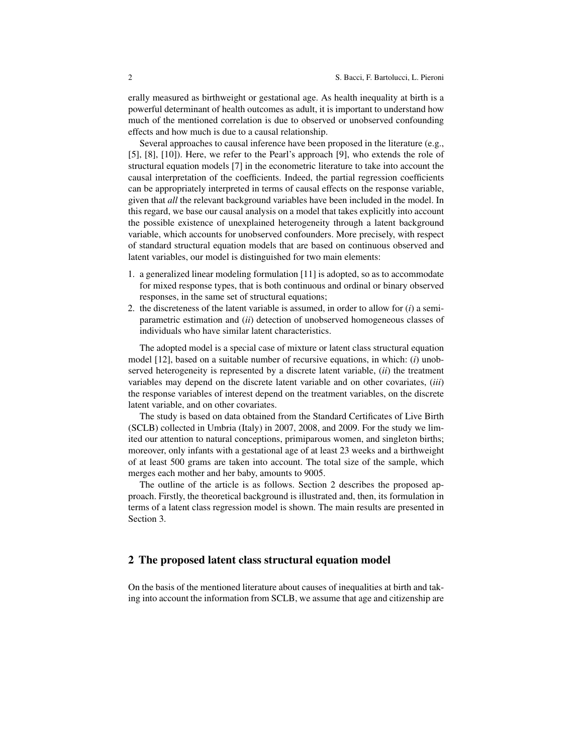erally measured as birthweight or gestational age. As health inequality at birth is a powerful determinant of health outcomes as adult, it is important to understand how much of the mentioned correlation is due to observed or unobserved confounding effects and how much is due to a causal relationship.

Several approaches to causal inference have been proposed in the literature (e.g., [5], [8], [10]). Here, we refer to the Pearl's approach [9], who extends the role of structural equation models [7] in the econometric literature to take into account the causal interpretation of the coefficients. Indeed, the partial regression coefficients can be appropriately interpreted in terms of causal effects on the response variable, given that *all* the relevant background variables have been included in the model. In this regard, we base our causal analysis on a model that takes explicitly into account the possible existence of unexplained heterogeneity through a latent background variable, which accounts for unobserved confounders. More precisely, with respect of standard structural equation models that are based on continuous observed and latent variables, our model is distinguished for two main elements:

- 1. a generalized linear modeling formulation [11] is adopted, so as to accommodate for mixed response types, that is both continuous and ordinal or binary observed responses, in the same set of structural equations;
- 2. the discreteness of the latent variable is assumed, in order to allow for (*i*) a semiparametric estimation and (*ii*) detection of unobserved homogeneous classes of individuals who have similar latent characteristics.

The adopted model is a special case of mixture or latent class structural equation model [12], based on a suitable number of recursive equations, in which: (*i*) unobserved heterogeneity is represented by a discrete latent variable, (*ii*) the treatment variables may depend on the discrete latent variable and on other covariates, (*iii*) the response variables of interest depend on the treatment variables, on the discrete latent variable, and on other covariates.

The study is based on data obtained from the Standard Certificates of Live Birth (SCLB) collected in Umbria (Italy) in 2007, 2008, and 2009. For the study we limited our attention to natural conceptions, primiparous women, and singleton births; moreover, only infants with a gestational age of at least 23 weeks and a birthweight of at least 500 grams are taken into account. The total size of the sample, which merges each mother and her baby, amounts to 9005.

The outline of the article is as follows. Section 2 describes the proposed approach. Firstly, the theoretical background is illustrated and, then, its formulation in terms of a latent class regression model is shown. The main results are presented in Section 3.

#### 2 The proposed latent class structural equation model

On the basis of the mentioned literature about causes of inequalities at birth and taking into account the information from SCLB, we assume that age and citizenship are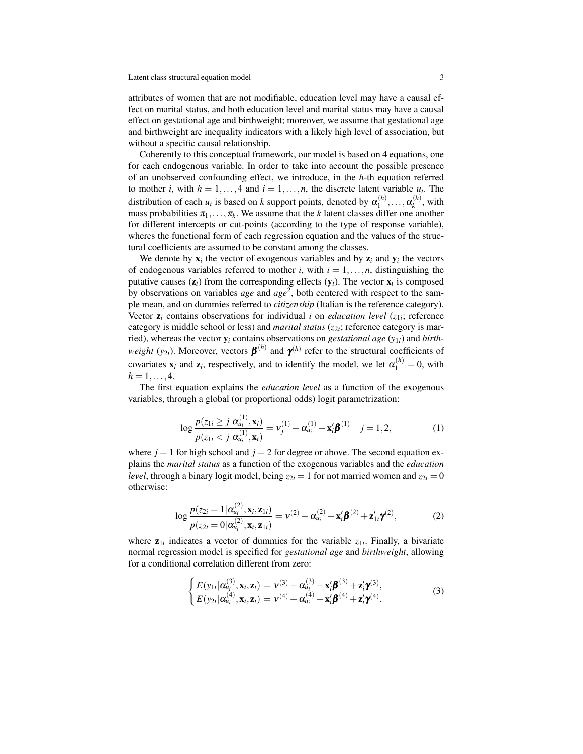attributes of women that are not modifiable, education level may have a causal effect on marital status, and both education level and marital status may have a causal effect on gestational age and birthweight; moreover, we assume that gestational age and birthweight are inequality indicators with a likely high level of association, but without a specific causal relationship.

Coherently to this conceptual framework, our model is based on 4 equations, one for each endogenous variable. In order to take into account the possible presence of an unobserved confounding effect, we introduce, in the *h*-th equation referred to mother *i*, with  $h = 1, ..., 4$  and  $i = 1, ..., n$ , the discrete latent variable  $u_i$ . The distribution of each  $u_i$  is based on  $k$  support points, denoted by  $\alpha_1^{(h)}$  $\alpha_k^{(h)},\ldots,\alpha_k^{(h)}$  $\chi_k^{(n)}$ , with mass probabilities  $\pi_1, \ldots, \pi_k$ . We assume that the *k* latent classes differ one another for different intercepts or cut-points (according to the type of response variable), wheres the functional form of each regression equation and the values of the structural coefficients are assumed to be constant among the classes.

We denote by  $x_i$  the vector of exogenous variables and by  $z_i$  and  $y_i$  the vectors of endogenous variables referred to mother *i*, with  $i = 1, \ldots, n$ , distinguishing the putative causes  $(z_i)$  from the corresponding effects  $(y_i)$ . The vector  $x_i$  is composed by observations on variables *age* and *age*<sup>2</sup> , both centered with respect to the sample mean, and on dummies referred to *citizenship* (Italian is the reference category). Vector  $z_i$  contains observations for individual *i* on *education level* ( $z_{1i}$ ; reference category is middle school or less) and *marital status* ( $z_{2i}$ ; reference category is married), whereas the vector y*<sup>i</sup>* contains observations on *gestational age* (*y*1*i*) and *birthweight* ( $y_{2i}$ ). Moreover, vectors  $\boldsymbol{\beta}^{(h)}$  and  $\boldsymbol{\gamma}^{(h)}$  refer to the structural coefficients of covariates  $\mathbf{x}_i$  and  $\mathbf{z}_i$ , respectively, and to identify the model, we let  $\alpha_1^{(h)} = 0$ , with  $h = 1, \ldots, 4.$ 

The first equation explains the *education level* as a function of the exogenous variables, through a global (or proportional odds) logit parametrization:

$$
\log \frac{p(z_{1i} \ge j | \alpha_{u_i}^{(1)}, \mathbf{x}_i)}{p(z_{1i} < j | \alpha_{u_i}^{(1)}, \mathbf{x}_i)} = \mathbf{v}_j^{(1)} + \alpha_{u_i}^{(1)} + \mathbf{x}_i' \boldsymbol{\beta}^{(1)} \quad j = 1, 2,\tag{1}
$$

where  $j = 1$  for high school and  $j = 2$  for degree or above. The second equation explains the *marital status* as a function of the exogenous variables and the *education level*, through a binary logit model, being  $z_{2i} = 1$  for not married women and  $z_{2i} = 0$ otherwise:

$$
\log \frac{p(z_{2i} = 1 | \alpha_{ui}^{(2)}, \mathbf{x}_i, \mathbf{z}_{1i})}{p(z_{2i} = 0 | \alpha_{ui}^{(2)}, \mathbf{x}_i, \mathbf{z}_{1i})} = v^{(2)} + \alpha_{ui}^{(2)} + \mathbf{x}_i' \boldsymbol{\beta}^{(2)} + \mathbf{z}_{1i}' \boldsymbol{\gamma}^{(2)},
$$
(2)

where  $z_{1i}$  indicates a vector of dummies for the variable  $z_{1i}$ . Finally, a bivariate normal regression model is specified for *gestational age* and *birthweight*, allowing for a conditional correlation different from zero:

$$
\begin{cases}\nE(y_{1i}|\alpha_{u_i}^{(3)}, \mathbf{x}_i, \mathbf{z}_i) = \mathbf{v}^{(3)} + \alpha_{u_i}^{(3)} + \mathbf{x}_i'\mathbf{\beta}^{(3)} + \mathbf{z}_i'\mathbf{\gamma}^{(3)}, \nE(y_{2i}|\alpha_{u_i}^{(4)}, \mathbf{x}_i, \mathbf{z}_i) = \mathbf{v}^{(4)} + \alpha_{u_i}^{(4)} + \mathbf{x}_i'\mathbf{\beta}^{(4)} + \mathbf{z}_i'\mathbf{\gamma}^{(4)}.\n\end{cases}
$$
\n(3)